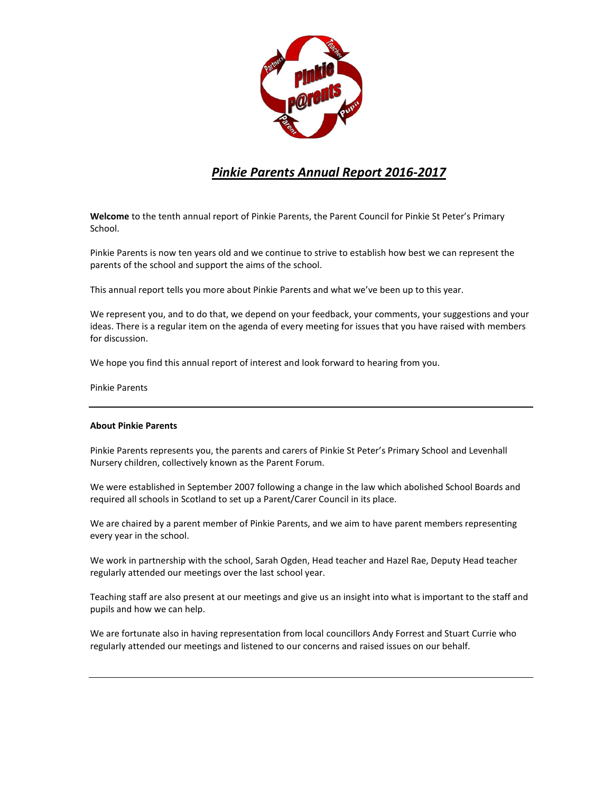

# *Pinkie Parents Annual Report 2016-2017*

**Welcome** to the tenth annual report of Pinkie Parents, the Parent Council for Pinkie St Peter's Primary School.

Pinkie Parents is now ten years old and we continue to strive to establish how best we can represent the parents of the school and support the aims of the school.

This annual report tells you more about Pinkie Parents and what we've been up to this year.

We represent you, and to do that, we depend on your feedback, your comments, your suggestions and your ideas. There is a regular item on the agenda of every meeting for issues that you have raised with members for discussion.

We hope you find this annual report of interest and look forward to hearing from you.

Pinkie Parents

## **About Pinkie Parents**

Pinkie Parents represents you, the parents and carers of Pinkie St Peter's Primary School and Levenhall Nursery children, collectively known as the Parent Forum.

We were established in September 2007 following a change in the law which abolished School Boards and required all schools in Scotland to set up a Parent/Carer Council in its place.

We are chaired by a parent member of Pinkie Parents, and we aim to have parent members representing every year in the school.

We work in partnership with the school, Sarah Ogden, Head teacher and Hazel Rae, Deputy Head teacher regularly attended our meetings over the last school year.

Teaching staff are also present at our meetings and give us an insight into what is important to the staff and pupils and how we can help.

We are fortunate also in having representation from local councillors Andy Forrest and Stuart Currie who regularly attended our meetings and listened to our concerns and raised issues on our behalf.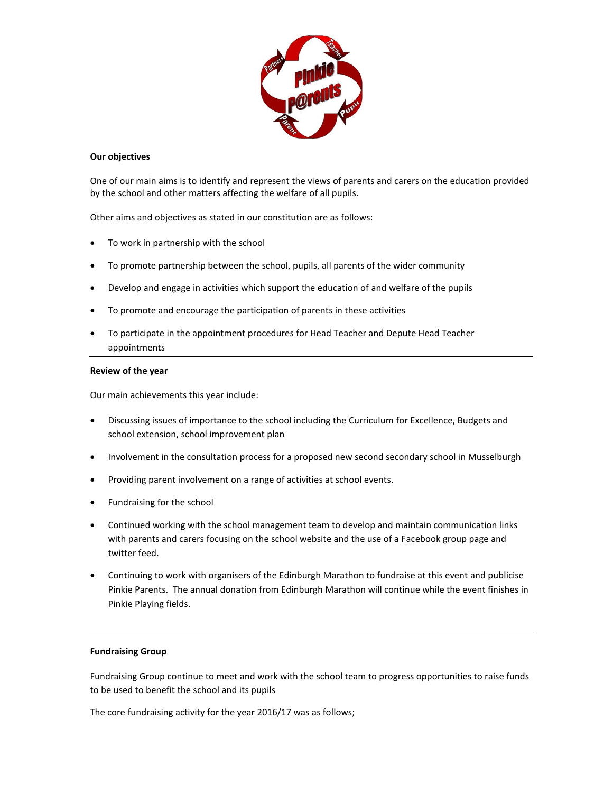

## **Our objectives**

One of our main aims is to identify and represent the views of parents and carers on the education provided by the school and other matters affecting the welfare of all pupils.

Other aims and objectives as stated in our constitution are as follows:

- To work in partnership with the school
- To promote partnership between the school, pupils, all parents of the wider community
- Develop and engage in activities which support the education of and welfare of the pupils
- To promote and encourage the participation of parents in these activities
- To participate in the appointment procedures for Head Teacher and Depute Head Teacher appointments

#### **Review of the year**

Our main achievements this year include:

- Discussing issues of importance to the school including the Curriculum for Excellence, Budgets and school extension, school improvement plan
- Involvement in the consultation process for a proposed new second secondary school in Musselburgh
- Providing parent involvement on a range of activities at school events.
- Fundraising for the school
- Continued working with the school management team to develop and maintain communication links with parents and carers focusing on the school website and the use of a Facebook group page and twitter feed.
- Continuing to work with organisers of the Edinburgh Marathon to fundraise at this event and publicise Pinkie Parents. The annual donation from Edinburgh Marathon will continue while the event finishes in Pinkie Playing fields.

#### **Fundraising Group**

Fundraising Group continue to meet and work with the school team to progress opportunities to raise funds to be used to benefit the school and its pupils

The core fundraising activity for the year 2016/17 was as follows;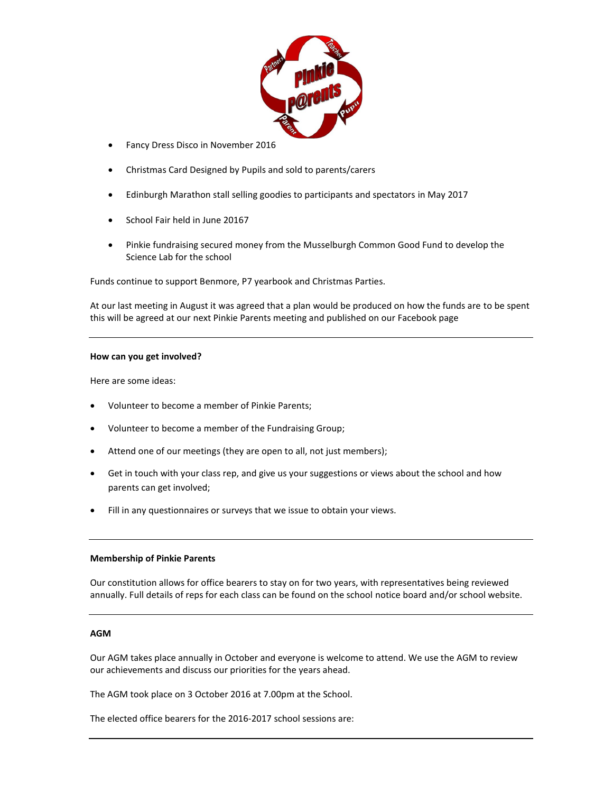

- **Fancy Dress Disco in November 2016**
- Christmas Card Designed by Pupils and sold to parents/carers
- Edinburgh Marathon stall selling goodies to participants and spectators in May 2017
- School Fair held in June 20167
- Pinkie fundraising secured money from the Musselburgh Common Good Fund to develop the Science Lab for the school

Funds continue to support Benmore, P7 yearbook and Christmas Parties.

At our last meeting in August it was agreed that a plan would be produced on how the funds are to be spent this will be agreed at our next Pinkie Parents meeting and published on our Facebook page

#### **How can you get involved?**

Here are some ideas:

- Volunteer to become a member of Pinkie Parents;
- Volunteer to become a member of the Fundraising Group;
- Attend one of our meetings (they are open to all, not just members);
- Get in touch with your class rep, and give us your suggestions or views about the school and how parents can get involved;
- Fill in any questionnaires or surveys that we issue to obtain your views.

#### **Membership of Pinkie Parents**

Our constitution allows for office bearers to stay on for two years, with representatives being reviewed annually. Full details of reps for each class can be found on the school notice board and/or school website.

## **AGM**

Our AGM takes place annually in October and everyone is welcome to attend. We use the AGM to review our achievements and discuss our priorities for the years ahead.

The AGM took place on 3 October 2016 at 7.00pm at the School.

The elected office bearers for the 2016-2017 school sessions are: